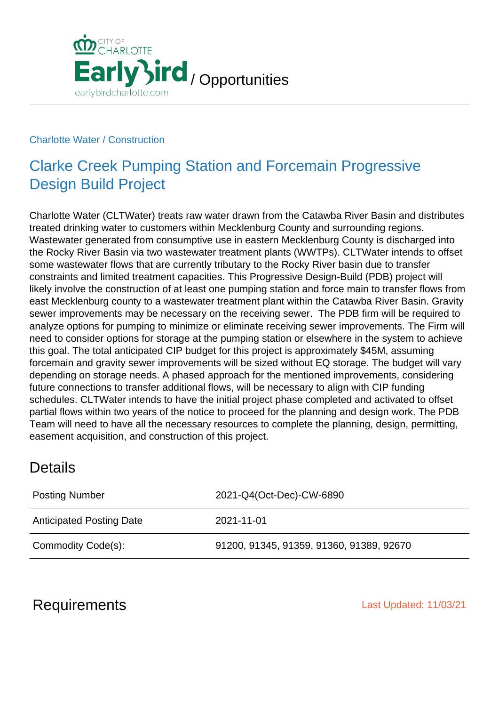

#### Charlotte Water / Construction

## Clarke Creek Pumping Station and Forcemain Progressive Design Build Project

Charlotte Water (CLTWater) treats raw water drawn from the Catawba River Basin and distributes treated drinking water to customers within Mecklenburg County and surrounding regions. Wastewater generated from consumptive use in eastern Mecklenburg County is discharged into the Rocky River Basin via two wastewater treatment plants (WWTPs). CLTWater intends to offset some wastewater flows that are currently tributary to the Rocky River basin due to transfer constraints and limited treatment capacities. This Progressive Design-Build (PDB) project will likely involve the construction of at least one pumping station and force main to transfer flows from east Mecklenburg county to a wastewater treatment plant within the Catawba River Basin. Gravity sewer improvements may be necessary on the receiving sewer. The PDB firm will be required to analyze options for pumping to minimize or eliminate receiving sewer improvements. The Firm will need to consider options for storage at the pumping station or elsewhere in the system to achieve this goal. The total anticipated CIP budget for this project is approximately \$45M, assuming forcemain and gravity sewer improvements will be sized without EQ storage. The budget will vary depending on storage needs. A phased approach for the mentioned improvements, considering future connections to transfer additional flows, will be necessary to align with CIP funding schedules. CLTWater intends to have the initial project phase completed and activated to offset partial flows within two years of the notice to proceed for the planning and design work. The PDB Team will need to have all the necessary resources to complete the planning, design, permitting, easement acquisition, and construction of this project.

### **Details**

| <b>Posting Number</b>           | 2021-Q4(Oct-Dec)-CW-6890                 |
|---------------------------------|------------------------------------------|
| <b>Anticipated Posting Date</b> | 2021-11-01                               |
| Commodity Code(s):              | 91200, 91345, 91359, 91360, 91389, 92670 |

### Requirements **Last Updated: 11/03/21**